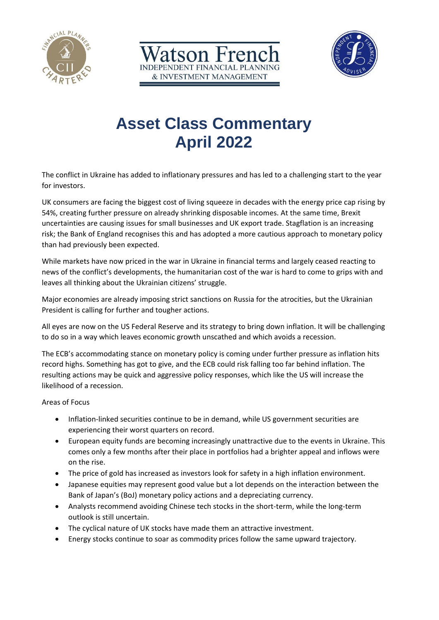





# **Asset Class Commentary April 2022**

The conflict in Ukraine has added to inflationary pressures and has led to a challenging start to the year for investors.

UK consumers are facing the biggest cost of living squeeze in decades with the energy price cap rising by 54%, creating further pressure on already shrinking disposable incomes. At the same time, Brexit uncertainties are causing issues for small businesses and UK export trade. Stagflation is an increasing risk; the Bank of England recognises this and has adopted a more cautious approach to monetary policy than had previously been expected.

While markets have now priced in the war in Ukraine in financial terms and largely ceased reacting to news of the conflict's developments, the humanitarian cost of the war is hard to come to grips with and leaves all thinking about the Ukrainian citizens' struggle.

Major economies are already imposing strict sanctions on Russia for the atrocities, but the Ukrainian President is calling for further and tougher actions.

All eyes are now on the US Federal Reserve and its strategy to bring down inflation. It will be challenging to do so in a way which leaves economic growth unscathed and which avoids a recession.

The ECB's accommodating stance on monetary policy is coming under further pressure as inflation hits record highs. Something has got to give, and the ECB could risk falling too far behind inflation. The resulting actions may be quick and aggressive policy responses, which like the US will increase the likelihood of a recession.

Areas of Focus

- Inflation-linked securities continue to be in demand, while US government securities are experiencing their worst quarters on record.
- European equity funds are becoming increasingly unattractive due to the events in Ukraine. This comes only a few months after their place in portfolios had a brighter appeal and inflows were on the rise.
- The price of gold has increased as investors look for safety in a high inflation environment.
- Japanese equities may represent good value but a lot depends on the interaction between the Bank of Japan's (BoJ) monetary policy actions and a depreciating currency.
- Analysts recommend avoiding Chinese tech stocks in the short-term, while the long-term outlook is still uncertain.
- The cyclical nature of UK stocks have made them an attractive investment.
- Energy stocks continue to soar as commodity prices follow the same upward trajectory.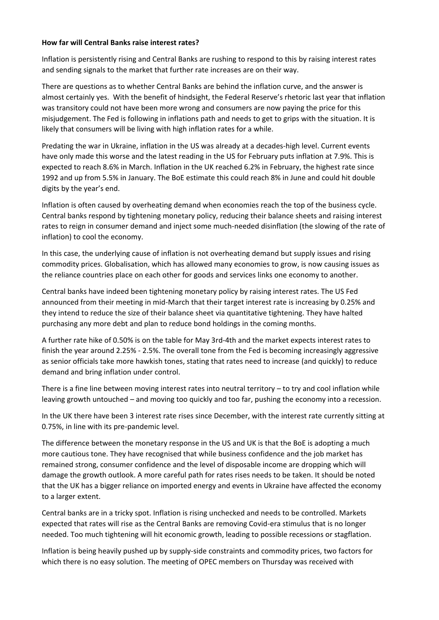### **How far will Central Banks raise interest rates?**

Inflation is persistently rising and Central Banks are rushing to respond to this by raising interest rates and sending signals to the market that further rate increases are on their way.

There are questions as to whether Central Banks are behind the inflation curve, and the answer is almost certainly yes. With the benefit of hindsight, the Federal Reserve's rhetoric last year that inflation was transitory could not have been more wrong and consumers are now paying the price for this misjudgement. The Fed is following in inflations path and needs to get to grips with the situation. It is likely that consumers will be living with high inflation rates for a while.

Predating the war in Ukraine, inflation in the US was already at a decades-high level. Current events have only made this worse and the latest reading in the US for February puts inflation at 7.9%. This is expected to reach 8.6% in March. Inflation in the UK reached 6.2% in February, the highest rate since 1992 and up from 5.5% in January. The BoE estimate this could reach 8% in June and could hit double digits by the year's end.

Inflation is often caused by overheating demand when economies reach the top of the business cycle. Central banks respond by tightening monetary policy, reducing their balance sheets and raising interest rates to reign in consumer demand and inject some much-needed disinflation (the slowing of the rate of inflation) to cool the economy.

In this case, the underlying cause of inflation is not overheating demand but supply issues and rising commodity prices. Globalisation, which has allowed many economies to grow, is now causing issues as the reliance countries place on each other for goods and services links one economy to another.

Central banks have indeed been tightening monetary policy by raising interest rates. The US Fed announced from their meeting in mid-March that their target interest rate is increasing by 0.25% and they intend to reduce the size of their balance sheet via quantitative tightening. They have halted purchasing any more debt and plan to reduce bond holdings in the coming months.

A further rate hike of 0.50% is on the table for May 3rd-4th and the market expects interest rates to finish the year around 2.25% - 2.5%. The overall tone from the Fed is becoming increasingly aggressive as senior officials take more hawkish tones, stating that rates need to increase (and quickly) to reduce demand and bring inflation under control.

There is a fine line between moving interest rates into neutral territory – to try and cool inflation while leaving growth untouched – and moving too quickly and too far, pushing the economy into a recession.

In the UK there have been 3 interest rate rises since December, with the interest rate currently sitting at 0.75%, in line with its pre-pandemic level.

The difference between the monetary response in the US and UK is that the BoE is adopting a much more cautious tone. They have recognised that while business confidence and the job market has remained strong, consumer confidence and the level of disposable income are dropping which will damage the growth outlook. A more careful path for rates rises needs to be taken. It should be noted that the UK has a bigger reliance on imported energy and events in Ukraine have affected the economy to a larger extent.

Central banks are in a tricky spot. Inflation is rising unchecked and needs to be controlled. Markets expected that rates will rise as the Central Banks are removing Covid-era stimulus that is no longer needed. Too much tightening will hit economic growth, leading to possible recessions or stagflation.

Inflation is being heavily pushed up by supply-side constraints and commodity prices, two factors for which there is no easy solution. The meeting of OPEC members on Thursday was received with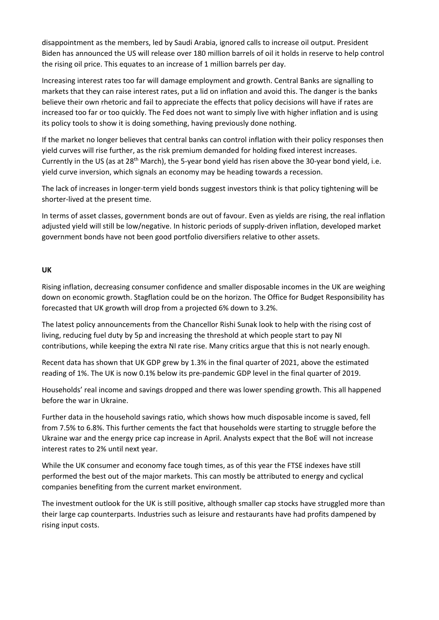disappointment as the members, led by Saudi Arabia, ignored calls to increase oil output. President Biden has announced the US will release over 180 million barrels of oil it holds in reserve to help control the rising oil price. This equates to an increase of 1 million barrels per day.

Increasing interest rates too far will damage employment and growth. Central Banks are signalling to markets that they can raise interest rates, put a lid on inflation and avoid this. The danger is the banks believe their own rhetoric and fail to appreciate the effects that policy decisions will have if rates are increased too far or too quickly. The Fed does not want to simply live with higher inflation and is using its policy tools to show it is doing something, having previously done nothing.

If the market no longer believes that central banks can control inflation with their policy responses then yield curves will rise further, as the risk premium demanded for holding fixed interest increases. Currently in the US (as at 28<sup>th</sup> March), the 5-year bond yield has risen above the 30-year bond yield, i.e. yield curve inversion, which signals an economy may be heading towards a recession.

The lack of increases in longer-term yield bonds suggest investors think is that policy tightening will be shorter-lived at the present time.

In terms of asset classes, government bonds are out of favour. Even as yields are rising, the real inflation adjusted yield will still be low/negative. In historic periods of supply-driven inflation, developed market government bonds have not been good portfolio diversifiers relative to other assets.

## **UK**

Rising inflation, decreasing consumer confidence and smaller disposable incomes in the UK are weighing down on economic growth. Stagflation could be on the horizon. The Office for Budget Responsibility has forecasted that UK growth will drop from a projected 6% down to 3.2%.

The latest policy announcements from the Chancellor Rishi Sunak look to help with the rising cost of living, reducing fuel duty by 5p and increasing the threshold at which people start to pay NI contributions, while keeping the extra NI rate rise. Many critics argue that this is not nearly enough.

Recent data has shown that UK GDP grew by 1.3% in the final quarter of 2021, above the estimated reading of 1%. The UK is now 0.1% below its pre-pandemic GDP level in the final quarter of 2019.

Households' real income and savings dropped and there was lower spending growth. This all happened before the war in Ukraine.

Further data in the household savings ratio, which shows how much disposable income is saved, fell from 7.5% to 6.8%. This further cements the fact that households were starting to struggle before the Ukraine war and the energy price cap increase in April. Analysts expect that the BoE will not increase interest rates to 2% until next year.

While the UK consumer and economy face tough times, as of this year the FTSE indexes have still performed the best out of the major markets. This can mostly be attributed to energy and cyclical companies benefiting from the current market environment.

The investment outlook for the UK is still positive, although smaller cap stocks have struggled more than their large cap counterparts. Industries such as leisure and restaurants have had profits dampened by rising input costs.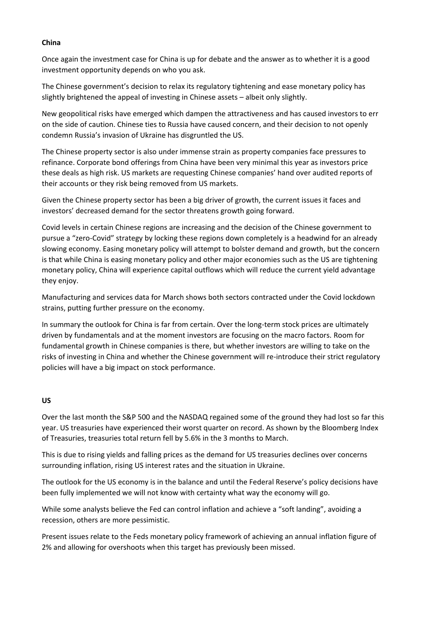### **China**

Once again the investment case for China is up for debate and the answer as to whether it is a good investment opportunity depends on who you ask.

The Chinese government's decision to relax its regulatory tightening and ease monetary policy has slightly brightened the appeal of investing in Chinese assets – albeit only slightly.

New geopolitical risks have emerged which dampen the attractiveness and has caused investors to err on the side of caution. Chinese ties to Russia have caused concern, and their decision to not openly condemn Russia's invasion of Ukraine has disgruntled the US.

The Chinese property sector is also under immense strain as property companies face pressures to refinance. Corporate bond offerings from China have been very minimal this year as investors price these deals as high risk. US markets are requesting Chinese companies' hand over audited reports of their accounts or they risk being removed from US markets.

Given the Chinese property sector has been a big driver of growth, the current issues it faces and investors' decreased demand for the sector threatens growth going forward.

Covid levels in certain Chinese regions are increasing and the decision of the Chinese government to pursue a "zero-Covid" strategy by locking these regions down completely is a headwind for an already slowing economy. Easing monetary policy will attempt to bolster demand and growth, but the concern is that while China is easing monetary policy and other major economies such as the US are tightening monetary policy, China will experience capital outflows which will reduce the current yield advantage they enjoy.

Manufacturing and services data for March shows both sectors contracted under the Covid lockdown strains, putting further pressure on the economy.

In summary the outlook for China is far from certain. Over the long-term stock prices are ultimately driven by fundamentals and at the moment investors are focusing on the macro factors. Room for fundamental growth in Chinese companies is there, but whether investors are willing to take on the risks of investing in China and whether the Chinese government will re-introduce their strict regulatory policies will have a big impact on stock performance.

## **US**

Over the last month the S&P 500 and the NASDAQ regained some of the ground they had lost so far this year. US treasuries have experienced their worst quarter on record. As shown by the Bloomberg Index of Treasuries, treasuries total return fell by 5.6% in the 3 months to March.

This is due to rising yields and falling prices as the demand for US treasuries declines over concerns surrounding inflation, rising US interest rates and the situation in Ukraine.

The outlook for the US economy is in the balance and until the Federal Reserve's policy decisions have been fully implemented we will not know with certainty what way the economy will go.

While some analysts believe the Fed can control inflation and achieve a "soft landing", avoiding a recession, others are more pessimistic.

Present issues relate to the Feds monetary policy framework of achieving an annual inflation figure of 2% and allowing for overshoots when this target has previously been missed.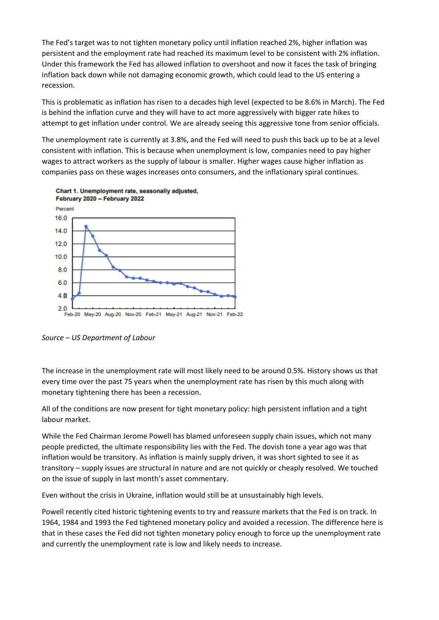The Fed's target was to not tighten monetary policy until inflation reached 2%, higher inflation was persistent and the employment rate had reached its maximum level to be consistent with 2% inflation. Under this framework the Fed has allowed inflation to overshoot and now it faces the task of bringing inflation back down while not damaging economic growth, which could lead to the US entering a recession.

This is problematic as inflation has risen to a decades high level (expected to be 8.6% in March). The Fed is behind the inflation curve and they will have to act more aggressively with bigger rate hikes to attempt to get inflation under control. We are already seeing this aggressive tone from senior officials.

The unemployment rate is currently at 3.8%, and the Fed will need to push this back up to be at a level consistent with inflation. This is because when unemployment is low, companies need to pay higher wages to attract workers as the supply of labour is smaller. Higher wages cause higher inflation as companies pass on these wages increases onto consumers, and the inflationary spiral continues.



*Source – US Department of Labour*

The increase in the unemployment rate will most likely need to be around 0.5%. History shows us that every time over the past 75 years when the unemployment rate has risen by this much along with monetary tightening there has been a recession.

All of the conditions are now present for tight monetary policy: high persistent inflation and a tight labour market.

While the Fed Chairman Jerome Powell has blamed unforeseen supply chain issues, which not many people predicted, the ultimate responsibility lies with the Fed. The dovish tone a year ago was that inflation would be transitory. As inflation is mainly supply driven, it was short sighted to see it as transitory – supply issues are structural in nature and are not quickly or cheaply resolved. We touched on the issue of supply in last month's asset commentary.

Even without the crisis in Ukraine, inflation would still be at unsustainably high levels.

Powell recently cited historic tightening events to try and reassure markets that the Fed is on track. In 1964, 1984 and 1993 the Fed tightened monetary policy and avoided a recession. The difference here is that in these cases the Fed did not tighten monetary policy enough to force up the unemployment rate and currently the unemployment rate is low and likely needs to increase.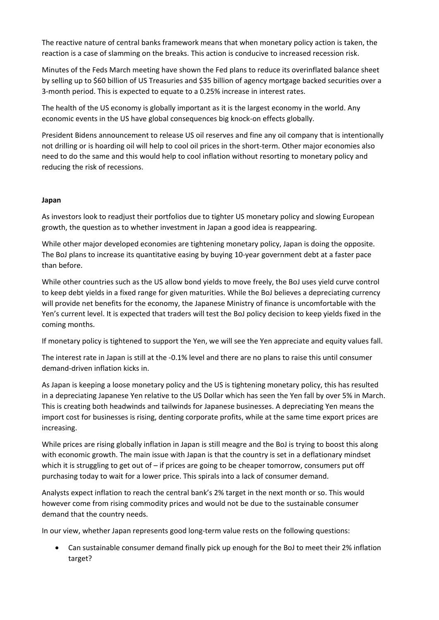The reactive nature of central banks framework means that when monetary policy action is taken, the reaction is a case of slamming on the breaks. This action is conducive to increased recession risk.

Minutes of the Feds March meeting have shown the Fed plans to reduce its overinflated balance sheet by selling up to \$60 billion of US Treasuries and \$35 billion of agency mortgage backed securities over a 3-month period. This is expected to equate to a 0.25% increase in interest rates.

The health of the US economy is globally important as it is the largest economy in the world. Any economic events in the US have global consequences big knock-on effects globally.

President Bidens announcement to release US oil reserves and fine any oil company that is intentionally not drilling or is hoarding oil will help to cool oil prices in the short-term. Other major economies also need to do the same and this would help to cool inflation without resorting to monetary policy and reducing the risk of recessions.

## **Japan**

As investors look to readjust their portfolios due to tighter US monetary policy and slowing European growth, the question as to whether investment in Japan a good idea is reappearing.

While other major developed economies are tightening monetary policy, Japan is doing the opposite. The BoJ plans to increase its quantitative easing by buying 10-year government debt at a faster pace than before.

While other countries such as the US allow bond yields to move freely, the BoJ uses yield curve control to keep debt yields in a fixed range for given maturities. While the BoJ believes a depreciating currency will provide net benefits for the economy, the Japanese Ministry of finance is uncomfortable with the Yen's current level. It is expected that traders will test the BoJ policy decision to keep yields fixed in the coming months.

If monetary policy is tightened to support the Yen, we will see the Yen appreciate and equity values fall.

The interest rate in Japan is still at the -0.1% level and there are no plans to raise this until consumer demand-driven inflation kicks in.

As Japan is keeping a loose monetary policy and the US is tightening monetary policy, this has resulted in a depreciating Japanese Yen relative to the US Dollar which has seen the Yen fall by over 5% in March. This is creating both headwinds and tailwinds for Japanese businesses. A depreciating Yen means the import cost for businesses is rising, denting corporate profits, while at the same time export prices are increasing.

While prices are rising globally inflation in Japan is still meagre and the BoJ is trying to boost this along with economic growth. The main issue with Japan is that the country is set in a deflationary mindset which it is struggling to get out of – if prices are going to be cheaper tomorrow, consumers put off purchasing today to wait for a lower price. This spirals into a lack of consumer demand.

Analysts expect inflation to reach the central bank's 2% target in the next month or so. This would however come from rising commodity prices and would not be due to the sustainable consumer demand that the country needs.

In our view, whether Japan represents good long-term value rests on the following questions:

• Can sustainable consumer demand finally pick up enough for the BoJ to meet their 2% inflation target?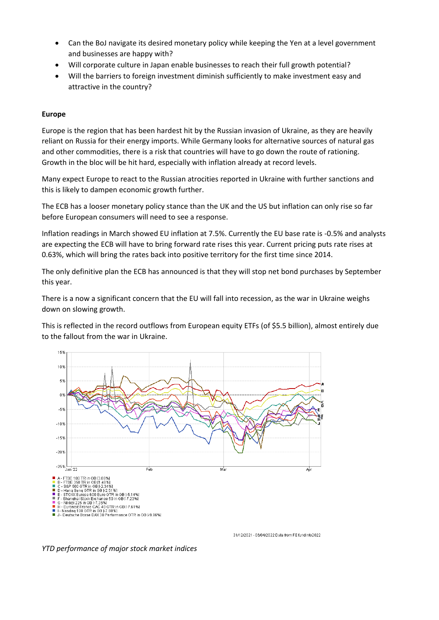- Can the BoJ navigate its desired monetary policy while keeping the Yen at a level government and businesses are happy with?
- Will corporate culture in Japan enable businesses to reach their full growth potential?
- Will the barriers to foreign investment diminish sufficiently to make investment easy and attractive in the country?

### **Europe**

Europe is the region that has been hardest hit by the Russian invasion of Ukraine, as they are heavily reliant on Russia for their energy imports. While Germany looks for alternative sources of natural gas and other commodities, there is a risk that countries will have to go down the route of rationing. Growth in the bloc will be hit hard, especially with inflation already at record levels.

Many expect Europe to react to the Russian atrocities reported in Ukraine with further sanctions and this is likely to dampen economic growth further.

The ECB has a looser monetary policy stance than the UK and the US but inflation can only rise so far before European consumers will need to see a response.

Inflation readings in March showed EU inflation at 7.5%. Currently the EU base rate is -0.5% and analysts are expecting the ECB will have to bring forward rate rises this year. Current pricing puts rate rises at 0.63%, which will bring the rates back into positive territory for the first time since 2014.

The only definitive plan the ECB has announced is that they will stop net bond purchases by September this year.

There is a now a significant concern that the EU will fall into recession, as the war in Ukraine weighs down on slowing growth.

This is reflected in the record outflows from European equity ETFs (of \$5.5 billion), almost entirely due to the fallout from the war in Ukraine.



31/12/2021 - 06/04/2022 Data from FE fundinfo2022

*YTD performance of major stock market indices*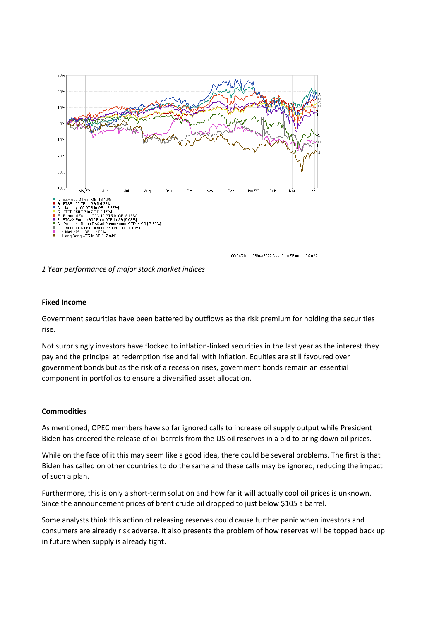

06/04/2021 - 06/04/2022 Data from FE fundinfo2022

*1 Year performance of major stock market indices*

#### **Fixed Income**

Government securities have been battered by outflows as the risk premium for holding the securities rise.

Not surprisingly investors have flocked to inflation-linked securities in the last year as the interest they pay and the principal at redemption rise and fall with inflation. Equities are still favoured over government bonds but as the risk of a recession rises, government bonds remain an essential component in portfolios to ensure a diversified asset allocation.

#### **Commodities**

As mentioned, OPEC members have so far ignored calls to increase oil supply output while President Biden has ordered the release of oil barrels from the US oil reserves in a bid to bring down oil prices.

While on the face of it this may seem like a good idea, there could be several problems. The first is that Biden has called on other countries to do the same and these calls may be ignored, reducing the impact of such a plan.

Furthermore, this is only a short-term solution and how far it will actually cool oil prices is unknown. Since the announcement prices of brent crude oil dropped to just below \$105 a barrel.

Some analysts think this action of releasing reserves could cause further panic when investors and consumers are already risk adverse. It also presents the problem of how reserves will be topped back up in future when supply is already tight.